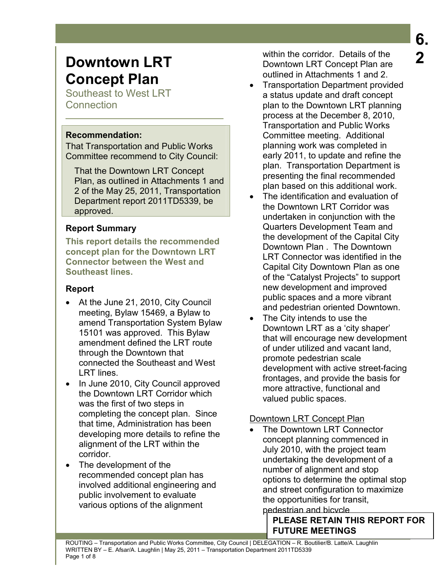# **Downtown LRT Concept Plan**

Southeast to West LRT **Connection** 

#### **Recommendation:**

That Transportation and Public Works Committee recommend to City Council:

That the Downtown LRT Concept Plan, as outlined in Attachments 1 and 2 of the May 25, 2011, Transportation Department report 2011TD5339, be approved.

## **Report Summary**

**This report details the recommended concept plan for the Downtown LRT Connector between the West and Southeast lines.** 

## **Report**

- At the June 21, 2010, City Council meeting, Bylaw 15469, a Bylaw to amend Transportation System Bylaw 15101 was approved. This Bylaw amendment defined the LRT route through the Downtown that connected the Southeast and West LRT lines.
- In June 2010, City Council approved the Downtown LRT Corridor which was the first of two steps in completing the concept plan. Since that time, Administration has been developing more details to refine the alignment of the LRT within the corridor.
- The development of the recommended concept plan has involved additional engineering and public involvement to evaluate various options of the alignment

within the corridor. Details of the Downtown LRT Concept Plan are outlined in Attachments 1 and 2.

- Transportation Department provided a status update and draft concept plan to the Downtown LRT planning process at the December 8, 2010, Transportation and Public Works Committee meeting. Additional planning work was completed in early 2011, to update and refine the plan. Transportation Department is presenting the final recommended plan based on this additional work.
- The identification and evaluation of the Downtown LRT Corridor was undertaken in conjunction with the Quarters Development Team and the development of the Capital City Downtown Plan . The Downtown LRT Connector was identified in the Capital City Downtown Plan as one of the "Catalyst Projects" to support new development and improved public spaces and a more vibrant and pedestrian oriented Downtown.
- The City intends to use the Downtown LRT as a 'city shaper' that will encourage new development of under utilized and vacant land, promote pedestrian scale development with active street-facing frontages, and provide the basis for more attractive, functional and valued public spaces.

# Downtown LRT Concept Plan

The Downtown LRT Connector concept planning commenced in July 2010, with the project team undertaking the development of a number of alignment and stop options to determine the optimal stop and street configuration to maximize the opportunities for transit, pedestrian and bicycle

> **PLEASE RETAIN THIS REPORT FOR FUTURE MEETINGS**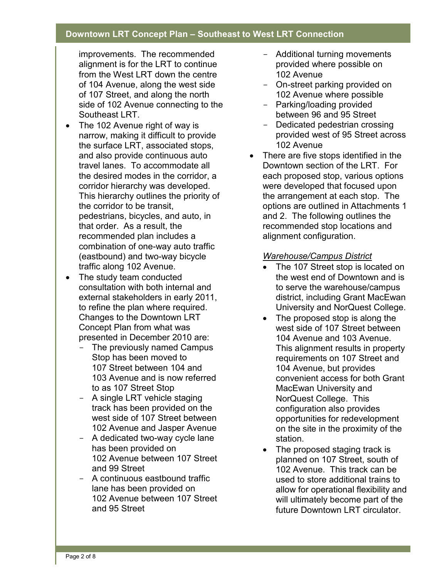improvements. The recommended alignment is for the LRT to continue from the West LRT down the centre of 104 Avenue, along the west side of 107 Street, and along the north side of 102 Avenue connecting to the Southeast LRT.

- The 102 Avenue right of way is narrow, making it difficult to provide the surface LRT, associated stops, and also provide continuous auto travel lanes. To accommodate all the desired modes in the corridor, a corridor hierarchy was developed. This hierarchy outlines the priority of the corridor to be transit, pedestrians, bicycles, and auto, in that order. As a result, the recommended plan includes a combination of one-way auto traffic (eastbound) and two-way bicycle traffic along 102 Avenue.
- The study team conducted consultation with both internal and external stakeholders in early 2011, to refine the plan where required. Changes to the Downtown LRT Concept Plan from what was presented in December 2010 are:
	- The previously named Campus Stop has been moved to 107 Street between 104 and 103 Avenue and is now referred to as 107 Street Stop
	- A single LRT vehicle staging track has been provided on the west side of 107 Street between 102 Avenue and Jasper Avenue
	- A dedicated two-way cycle lane has been provided on 102 Avenue between 107 Street and 99 Street
	- A continuous eastbound traffic lane has been provided on 102 Avenue between 107 Street and 95 Street
- Additional turning movements provided where possible on 102 Avenue
- On-street parking provided on 102 Avenue where possible
- Parking/loading provided between 96 and 95 Street
- Dedicated pedestrian crossing provided west of 95 Street across 102 Avenue
- There are five stops identified in the Downtown section of the LRT. For each proposed stop, various options were developed that focused upon the arrangement at each stop. The options are outlined in Attachments 1 and 2. The following outlines the recommended stop locations and alignment configuration.

### *Warehouse/Campus District*

- The 107 Street stop is located on the west end of Downtown and is to serve the warehouse/campus district, including Grant MacEwan University and NorQuest College.
- The proposed stop is along the west side of 107 Street between 104 Avenue and 103 Avenue. This alignment results in property requirements on 107 Street and 104 Avenue, but provides convenient access for both Grant MacEwan University and NorQuest College. This configuration also provides opportunities for redevelopment on the site in the proximity of the station.
- The proposed staging track is planned on 107 Street, south of 102 Avenue. This track can be used to store additional trains to allow for operational flexibility and will ultimately become part of the future Downtown LRT circulator.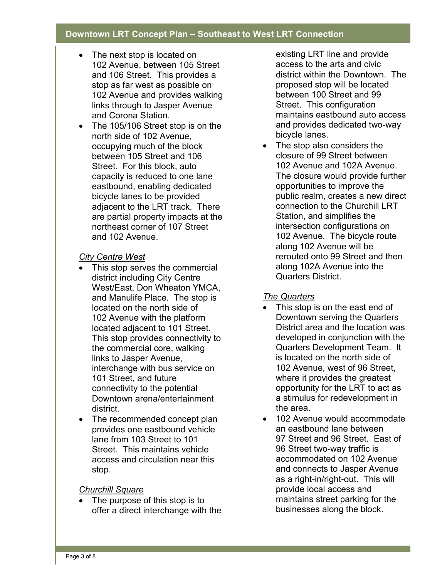- The next stop is located on 102 Avenue, between 105 Street and 106 Street. This provides a stop as far west as possible on 102 Avenue and provides walking links through to Jasper Avenue and Corona Station.
- The 105/106 Street stop is on the north side of 102 Avenue, occupying much of the block between 105 Street and 106 Street. For this block, auto capacity is reduced to one lane eastbound, enabling dedicated bicycle lanes to be provided adjacent to the LRT track. There are partial property impacts at the northeast corner of 107 Street and 102 Avenue.

#### *City Centre West*

- This stop serves the commercial district including City Centre West/East, Don Wheaton YMCA, and Manulife Place. The stop is located on the north side of 102 Avenue with the platform located adjacent to 101 Street. This stop provides connectivity to the commercial core, walking links to Jasper Avenue, interchange with bus service on 101 Street, and future connectivity to the potential Downtown arena/entertainment district.
- The recommended concept plan provides one eastbound vehicle lane from 103 Street to 101 Street. This maintains vehicle access and circulation near this stop.

#### *Churchill Square*

• The purpose of this stop is to offer a direct interchange with the existing LRT line and provide access to the arts and civic district within the Downtown. The proposed stop will be located between 100 Street and 99 Street. This configuration maintains eastbound auto access and provides dedicated two-way bicycle lanes.

• The stop also considers the closure of 99 Street between 102 Avenue and 102A Avenue. The closure would provide further opportunities to improve the public realm, creates a new direct connection to the Churchill LRT Station, and simplifies the intersection configurations on 102 Avenue. The bicycle route along 102 Avenue will be rerouted onto 99 Street and then along 102A Avenue into the Quarters District.

## *The Quarters*

- This stop is on the east end of Downtown serving the Quarters District area and the location was developed in conjunction with the Quarters Development Team. It is located on the north side of 102 Avenue, west of 96 Street, where it provides the greatest opportunity for the LRT to act as a stimulus for redevelopment in the area.
- 102 Avenue would accommodate an eastbound lane between 97 Street and 96 Street. East of 96 Street two-way traffic is accommodated on 102 Avenue and connects to Jasper Avenue as a right-in/right-out. This will provide local access and maintains street parking for the businesses along the block.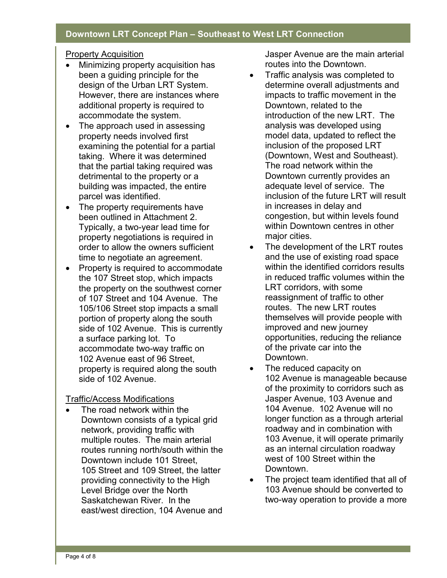#### Property Acquisition

- Minimizing property acquisition has been a guiding principle for the design of the Urban LRT System. However, there are instances where additional property is required to accommodate the system.
- The approach used in assessing property needs involved first examining the potential for a partial taking. Where it was determined that the partial taking required was detrimental to the property or a building was impacted, the entire parcel was identified.
- The property requirements have been outlined in Attachment 2. Typically, a two-year lead time for property negotiations is required in order to allow the owners sufficient time to negotiate an agreement.
- Property is required to accommodate the 107 Street stop, which impacts the property on the southwest corner of 107 Street and 104 Avenue. The 105/106 Street stop impacts a small portion of property along the south side of 102 Avenue. This is currently a surface parking lot. To accommodate two-way traffic on 102 Avenue east of 96 Street, property is required along the south side of 102 Avenue.

#### Traffic/Access Modifications

The road network within the Downtown consists of a typical grid network, providing traffic with multiple routes. The main arterial routes running north/south within the Downtown include 101 Street, 105 Street and 109 Street, the latter providing connectivity to the High Level Bridge over the North Saskatchewan River. In the east/west direction, 104 Avenue and

Jasper Avenue are the main arterial routes into the Downtown.

- Traffic analysis was completed to determine overall adjustments and impacts to traffic movement in the Downtown, related to the introduction of the new LRT. The analysis was developed using model data, updated to reflect the inclusion of the proposed LRT (Downtown, West and Southeast). The road network within the Downtown currently provides an adequate level of service. The inclusion of the future LRT will result in increases in delay and congestion, but within levels found within Downtown centres in other major cities.
- The development of the LRT routes and the use of existing road space within the identified corridors results in reduced traffic volumes within the LRT corridors, with some reassignment of traffic to other routes. The new LRT routes themselves will provide people with improved and new journey opportunities, reducing the reliance of the private car into the Downtown.
- The reduced capacity on 102 Avenue is manageable because of the proximity to corridors such as Jasper Avenue, 103 Avenue and 104 Avenue. 102 Avenue will no longer function as a through arterial roadway and in combination with 103 Avenue, it will operate primarily as an internal circulation roadway west of 100 Street within the Downtown.
- The project team identified that all of 103 Avenue should be converted to two-way operation to provide a more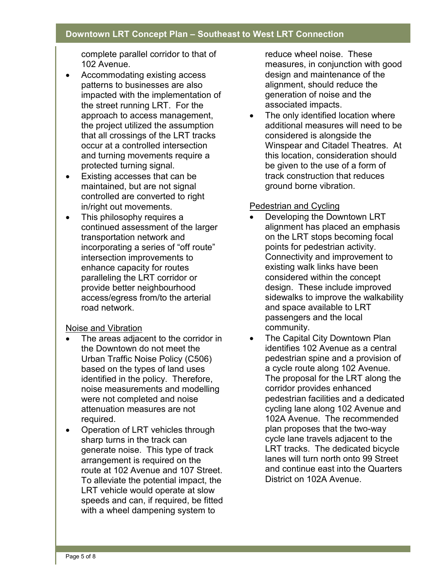complete parallel corridor to that of 102 Avenue.

- Accommodating existing access patterns to businesses are also impacted with the implementation of the street running LRT. For the approach to access management, the project utilized the assumption that all crossings of the LRT tracks occur at a controlled intersection and turning movements require a protected turning signal.
- Existing accesses that can be maintained, but are not signal controlled are converted to right in/right out movements.
- This philosophy requires a continued assessment of the larger transportation network and incorporating a series of "off route" intersection improvements to enhance capacity for routes paralleling the LRT corridor or provide better neighbourhood access/egress from/to the arterial road network.

#### Noise and Vibration

- The areas adjacent to the corridor in the Downtown do not meet the Urban Traffic Noise Policy (C506) based on the types of land uses identified in the policy. Therefore, noise measurements and modelling were not completed and noise attenuation measures are not required.
- Operation of LRT vehicles through sharp turns in the track can generate noise. This type of track arrangement is required on the route at 102 Avenue and 107 Street. To alleviate the potential impact, the LRT vehicle would operate at slow speeds and can, if required, be fitted with a wheel dampening system to

reduce wheel noise. These measures, in conjunction with good design and maintenance of the alignment, should reduce the generation of noise and the associated impacts.

The only identified location where additional measures will need to be considered is alongside the Winspear and Citadel Theatres. At this location, consideration should be given to the use of a form of track construction that reduces ground borne vibration.

#### Pedestrian and Cycling

- Developing the Downtown LRT alignment has placed an emphasis on the LRT stops becoming focal points for pedestrian activity. Connectivity and improvement to existing walk links have been considered within the concept design. These include improved sidewalks to improve the walkability and space available to LRT passengers and the local community.
- The Capital City Downtown Plan identifies 102 Avenue as a central pedestrian spine and a provision of a cycle route along 102 Avenue. The proposal for the LRT along the corridor provides enhanced pedestrian facilities and a dedicated cycling lane along 102 Avenue and 102A Avenue. The recommended plan proposes that the two-way cycle lane travels adjacent to the LRT tracks. The dedicated bicycle lanes will turn north onto 99 Street and continue east into the Quarters District on 102A Avenue.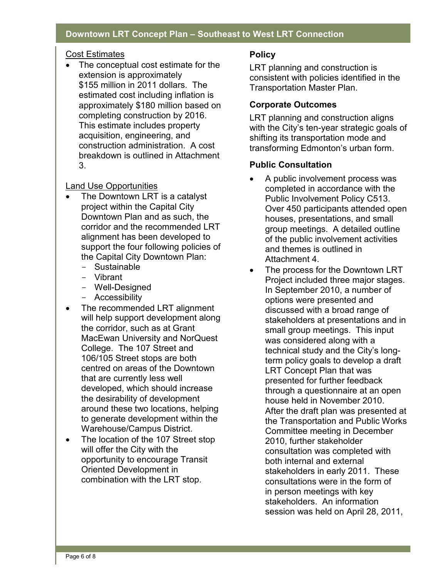#### Cost Estimates

• The conceptual cost estimate for the extension is approximately \$155 million in 2011 dollars. The estimated cost including inflation is approximately \$180 million based on completing construction by 2016. This estimate includes property acquisition, engineering, and construction administration. A cost breakdown is outlined in Attachment 3.

#### Land Use Opportunities

- The Downtown LRT is a catalyst project within the Capital City Downtown Plan and as such, the corridor and the recommended LRT alignment has been developed to support the four following policies of the Capital City Downtown Plan:
	- Sustainable
	- Vibrant
	- Well-Designed
	- Accessibility
- The recommended LRT alignment will help support development along the corridor, such as at Grant MacEwan University and NorQuest College. The 107 Street and 106/105 Street stops are both centred on areas of the Downtown that are currently less well developed, which should increase the desirability of development around these two locations, helping to generate development within the Warehouse/Campus District.
- The location of the 107 Street stop will offer the City with the opportunity to encourage Transit Oriented Development in combination with the LRT stop.

#### **Policy**

LRT planning and construction is consistent with policies identified in the Transportation Master Plan.

#### **Corporate Outcomes**

LRT planning and construction aligns with the City's ten-year strategic goals of shifting its transportation mode and transforming Edmonton's urban form.

#### **Public Consultation**

- A public involvement process was completed in accordance with the Public Involvement Policy C513. Over 450 participants attended open houses, presentations, and small group meetings. A detailed outline of the public involvement activities and themes is outlined in Attachment 4.
- The process for the Downtown LRT Project included three major stages. In September 2010, a number of options were presented and discussed with a broad range of stakeholders at presentations and in small group meetings. This input was considered along with a technical study and the City's longterm policy goals to develop a draft LRT Concept Plan that was presented for further feedback through a questionnaire at an open house held in November 2010. After the draft plan was presented at the Transportation and Public Works Committee meeting in December 2010, further stakeholder consultation was completed with both internal and external stakeholders in early 2011. These consultations were in the form of in person meetings with key stakeholders. An information session was held on April 28, 2011,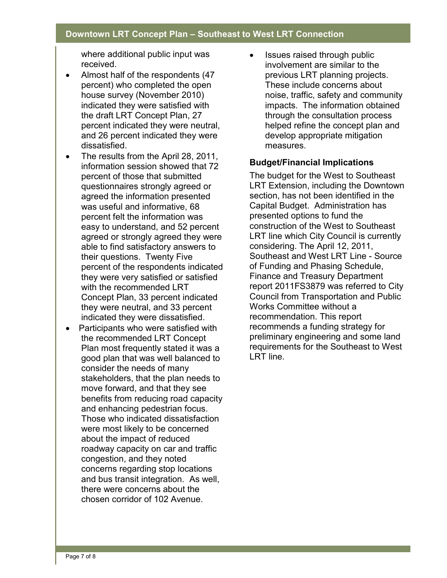where additional public input was received.

- Almost half of the respondents (47 percent) who completed the open house survey (November 2010) indicated they were satisfied with the draft LRT Concept Plan, 27 percent indicated they were neutral, and 26 percent indicated they were dissatisfied.
- The results from the April 28, 2011, information session showed that 72 percent of those that submitted questionnaires strongly agreed or agreed the information presented was useful and informative, 68 percent felt the information was easy to understand, and 52 percent agreed or strongly agreed they were able to find satisfactory answers to their questions. Twenty Five percent of the respondents indicated they were very satisfied or satisfied with the recommended LRT Concept Plan, 33 percent indicated they were neutral, and 33 percent indicated they were dissatisfied.
- Participants who were satisfied with the recommended LRT Concept Plan most frequently stated it was a good plan that was well balanced to consider the needs of many stakeholders, that the plan needs to move forward, and that they see benefits from reducing road capacity and enhancing pedestrian focus. Those who indicated dissatisfaction were most likely to be concerned about the impact of reduced roadway capacity on car and traffic congestion, and they noted concerns regarding stop locations and bus transit integration. As well, there were concerns about the chosen corridor of 102 Avenue.

• Issues raised through public involvement are similar to the previous LRT planning projects. These include concerns about noise, traffic, safety and community impacts. The information obtained through the consultation process helped refine the concept plan and develop appropriate mitigation measures.

#### **Budget/Financial Implications**

The budget for the West to Southeast LRT Extension, including the Downtown section, has not been identified in the Capital Budget. Administration has presented options to fund the construction of the West to Southeast LRT line which City Council is currently considering. The April 12, 2011, Southeast and West LRT Line - Source of Funding and Phasing Schedule, Finance and Treasury Department report 2011FS3879 was referred to City Council from Transportation and Public Works Committee without a recommendation. This report recommends a funding strategy for preliminary engineering and some land requirements for the Southeast to West LRT line.